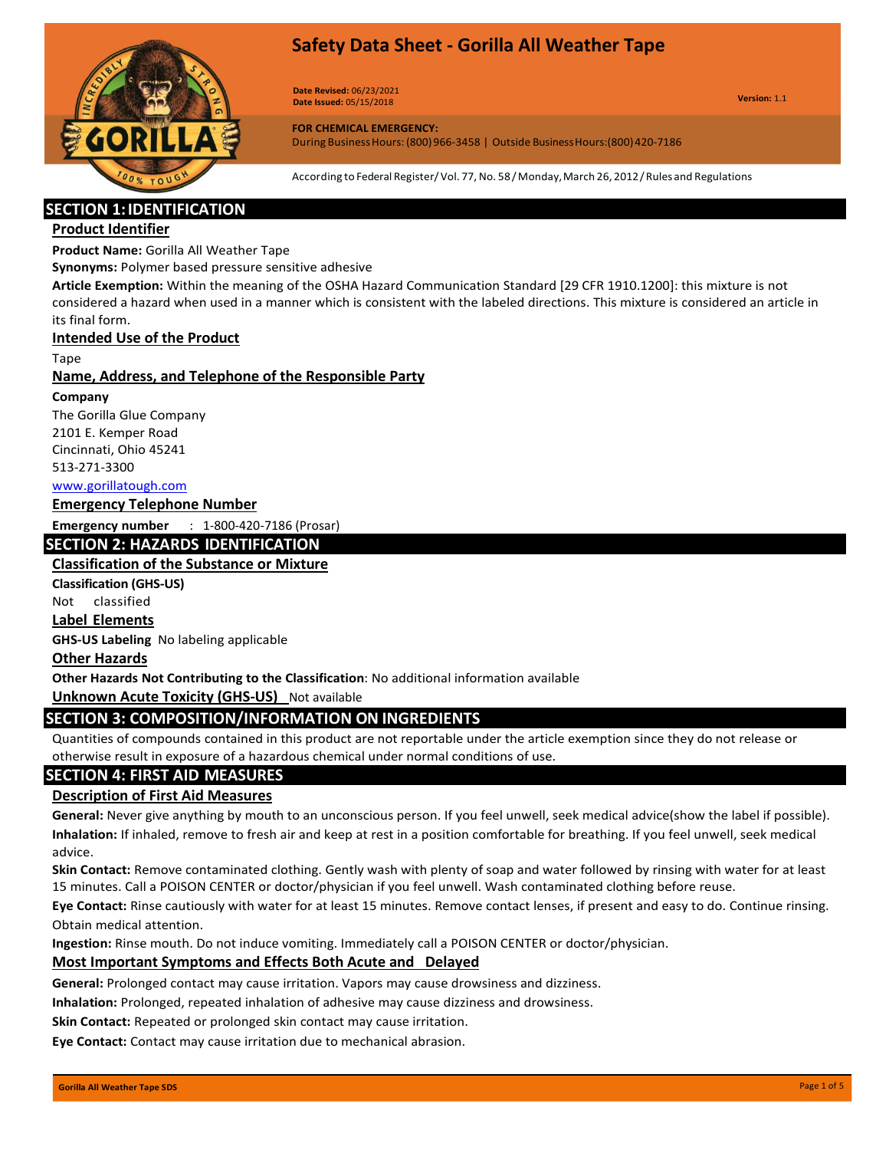

**Version:** 1.1 **Date Revised:** 06/23/2021 **Date Issued:** 05/15/2018

**FOR CHEMICAL EMERGENCY:**

During BusinessHours: (800)966-3458 | Outside BusinessHours:(800)420-7186

According to Federal Register/Vol. 77,No. 58/Monday,March 26, 2012/ Rulesand Regulations

# **SECTION 1:IDENTIFICATION**

## **Product Identifier**

**Product Name:** Gorilla All Weather Tape

**Synonyms:** Polymer based pressure sensitive adhesive

**Article Exemption:** Within the meaning of the OSHA Hazard Communication Standard [29 CFR 1910.1200]: this mixture is not considered a hazard when used in a manner which is consistent with the labeled directions. This mixture is considered an article in its final form.

#### **Intended Use of the Product**

Tape

#### **Name, Address, and Telephone of the Responsible Party**

#### **Company**

The Gorilla Glue Company 2101 E. Kemper Road Cincinnati, Ohio 45241 513-271-3300

#### [www.gorillatough.com](http://www.gorillatough.com/)

#### **Emergency Telephone Number**

**Emergency number** : 1-800-420-7186 (Prosar)

## **SECTION 2: HAZARDS IDENTIFICATION**

#### **Classification of the Substance or Mixture**

**Classification (GHS-US)** 

Not classified

## **Label Elements**

**GHS-US Labeling** No labeling applicable

#### **Other Hazards**

**Other Hazards Not Contributing to the Classification**: No additional information available

**Unknown Acute Toxicity (GHS-US)** Not available

## **SECTION 3: COMPOSITION/INFORMATION ON INGREDIENTS**

Quantities of compounds contained in this product are not reportable under the article exemption since they do not release or otherwise result in exposure of a hazardous chemical under normal conditions of use.

#### **SECTION 4: FIRST AID MEASURES**

## **Description of First Aid Measures**

**General:** Never give anything by mouth to an unconscious person. If you feel unwell, seek medical advice(show the label if possible). **Inhalation:** If inhaled, remove to fresh air and keep at rest in a position comfortable for breathing. If you feel unwell, seek medical advice.

**Skin Contact:** Remove contaminated clothing. Gently wash with plenty of soap and water followed by rinsing with water for at least 15 minutes. Call a POISON CENTER or doctor/physician if you feel unwell. Wash contaminated clothing before reuse.

**Eye Contact:** Rinse cautiously with water for at least 15 minutes. Remove contact lenses, if present and easy to do. Continue rinsing. Obtain medical attention.

**Ingestion:** Rinse mouth. Do not induce vomiting. Immediately call a POISON CENTER or doctor/physician.

## **Most Important Symptoms and Effects Both Acute and Delayed**

**General:** Prolonged contact may cause irritation. Vapors may cause drowsiness and dizziness.

**Inhalation:** Prolonged, repeated inhalation of adhesive may cause dizziness and drowsiness.

**Skin Contact:** Repeated or prolonged skin contact may cause irritation.

**Eye Contact:** Contact may cause irritation due to mechanical abrasion.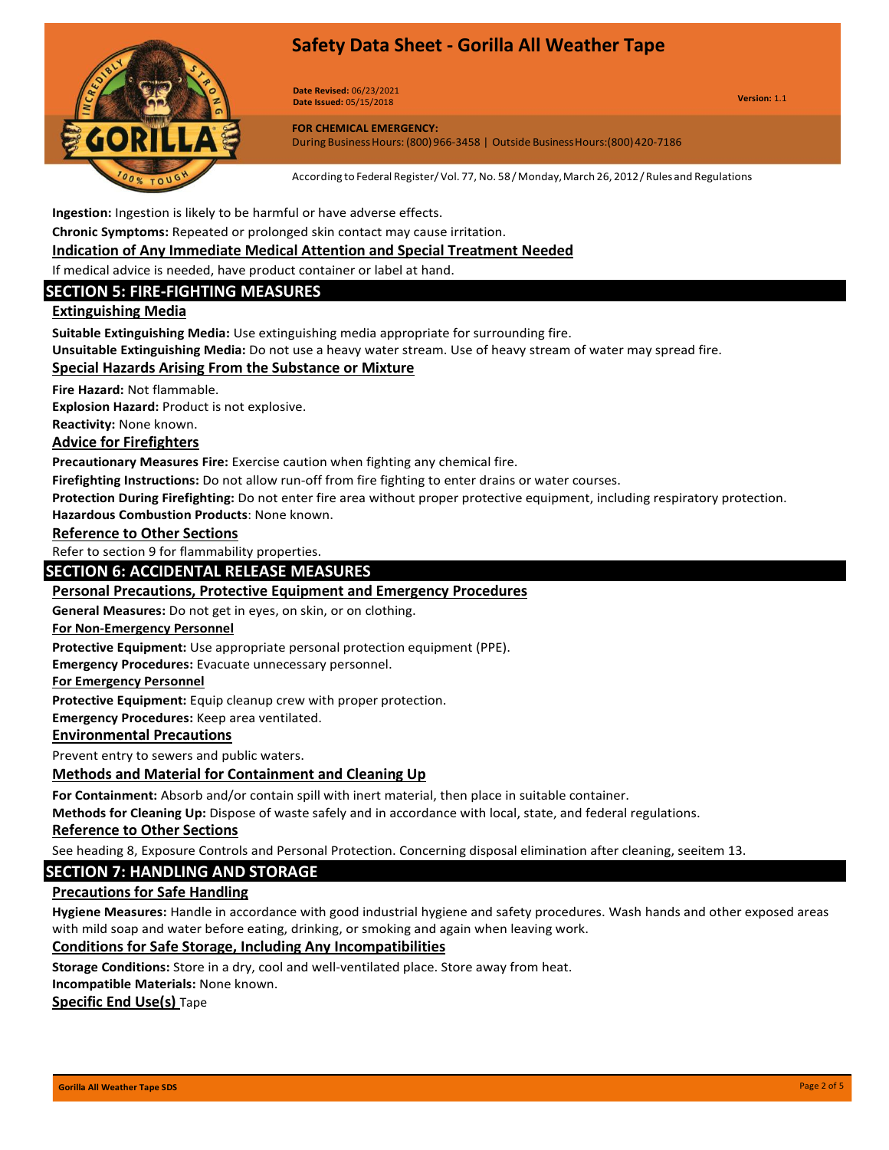

**Version:** 1.1 **Date Revised:** 06/23/2021 **Date Issued:** 05/15/2018

**FOR CHEMICAL EMERGENCY:**

During BusinessHours: (800)966-3458 | Outside BusinessHours:(800)420-7186

According to Federal Register/Vol. 77,No. 58/Monday,March 26, 2012/ Rulesand Regulations

**Ingestion:** Ingestion is likely to be harmful or have adverse effects.

**Chronic Symptoms:** Repeated or prolonged skin contact may cause irritation.

## **Indication of Any Immediate Medical Attention and Special Treatment Needed**

If medical advice is needed, have product container or label at hand.

# **SECTION 5: FIRE-FIGHTING MEASURES**

#### **Extinguishing Media**

**Suitable Extinguishing Media:** Use extinguishing media appropriate for surrounding fire.

**Unsuitable Extinguishing Media:** Do not use a heavy water stream. Use of heavy stream of water may spread fire.

## **Special Hazards Arising From the Substance or Mixture**

**Fire Hazard:** Not flammable.

**Explosion Hazard:** Product is not explosive.

**Reactivity:** None known.

#### **Advice for Firefighters**

**Precautionary Measures Fire:** Exercise caution when fighting any chemical fire.

**Firefighting Instructions:** Do not allow run-off from fire fighting to enter drains or water courses.

**Protection During Firefighting:** Do not enter fire area without proper protective equipment, including respiratory protection.

**Hazardous Combustion Products**: None known.

#### **Reference to Other Sections**

Refer to section 9 for flammability properties.

## **SECTION 6: ACCIDENTAL RELEASE MEASURES**

## **Personal Precautions, Protective Equipment and Emergency Procedures**

**General Measures:** Do not get in eyes, on skin, or on clothing.

#### **For Non-Emergency Personnel**

**Protective Equipment:** Use appropriate personal protection equipment (PPE).

**Emergency Procedures:** Evacuate unnecessary personnel.

**For Emergency Personnel**

**Protective Equipment:** Equip cleanup crew with proper protection.

**Emergency Procedures:** Keep area ventilated.

## **Environmental Precautions**

Prevent entry to sewers and public waters.

## **Methods and Material for Containment and Cleaning Up**

**For Containment:** Absorb and/or contain spill with inert material, then place in suitable container.

**Methods for Cleaning Up:** Dispose of waste safely and in accordance with local, state, and federal regulations.

#### **Reference to Other Sections**

See heading 8, Exposure Controls and Personal Protection. Concerning disposal elimination after cleaning, seeitem 13.

# **SECTION 7: HANDLING AND STORAGE**

## **Precautions for Safe Handling**

**Hygiene Measures:** Handle in accordance with good industrial hygiene and safety procedures. Wash hands and other exposed areas with mild soap and water before eating, drinking, or smoking and again when leaving work.

## **Conditions for Safe Storage, Including Any Incompatibilities**

**Storage Conditions:** Store in a dry, cool and well-ventilated place. Store away from heat.

**Incompatible Materials:** None known.

**Specific End Use(s)** Tape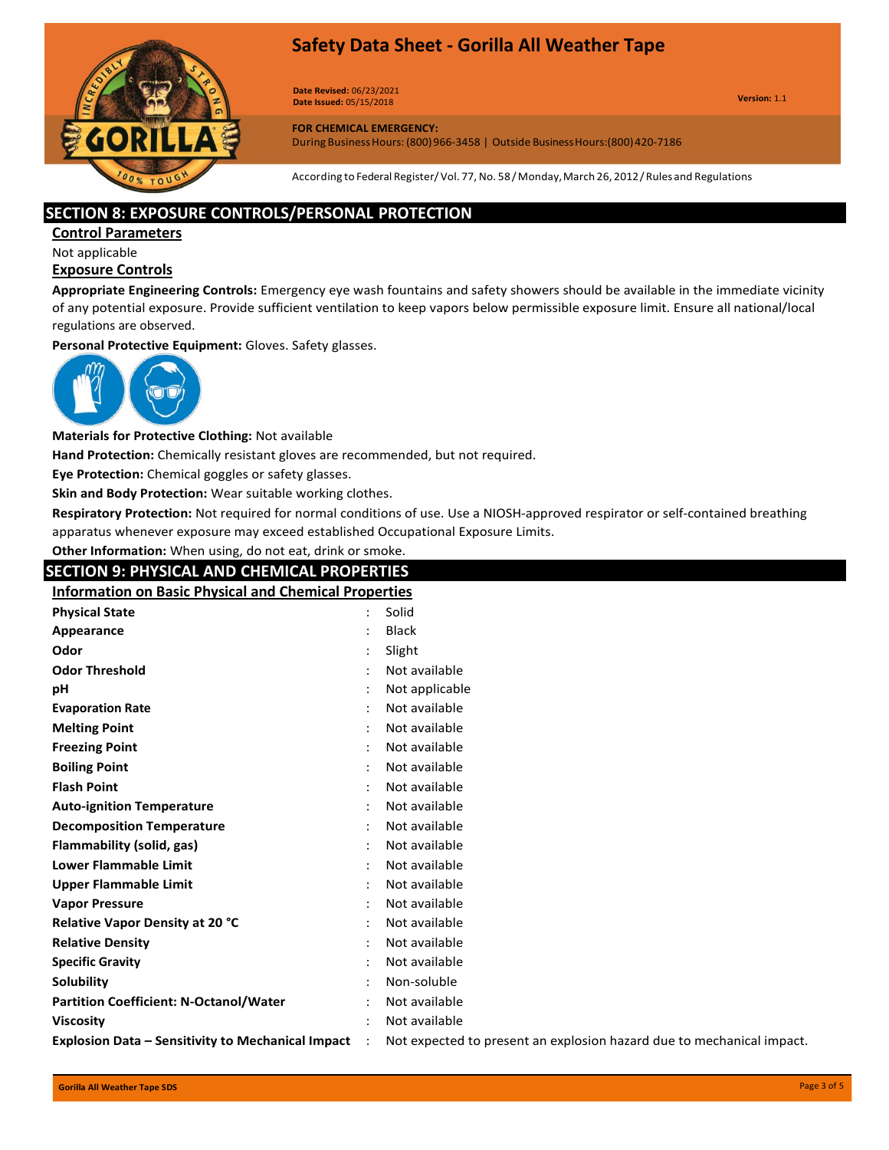

**Version:** 1.1 **Date Revised:** 06/23/2021 **Date Issued:** 05/15/2018

**FOR CHEMICAL EMERGENCY:**

During Business Hours: (800) 966-3458 | Outside Business Hours: (800) 420-7186

According to Federal Register/Vol. 77,No. 58/Monday,March 26, 2012/ Rulesand Regulations

## **SECTION 8: EXPOSURE CONTROLS/PERSONAL PROTECTION**

**Control Parameters**

Not applicable

# **Exposure Controls**

**Appropriate Engineering Controls:** Emergency eye wash fountains and safety showers should be available in the immediate vicinity of any potential exposure. Provide sufficient ventilation to keep vapors below permissible exposure limit. Ensure all national/local regulations are observed.

**Personal Protective Equipment:** Gloves. Safety glasses.



**Materials for Protective Clothing:** Not available

**Hand Protection:** Chemically resistant gloves are recommended, but not required.

**Eye Protection:** Chemical goggles or safety glasses.

**Skin and Body Protection:** Wear suitable working clothes.

**Respiratory Protection:** Not required for normal conditions of use. Use a NIOSH-approved respirator or self-contained breathing apparatus whenever exposure may exceed established Occupational Exposure Limits.

# **Other Information:** When using, do not eat, drink or smoke.

|                                                              | <b>SECTION 9: PHYSICAL AND CHEMICAL PROPERTIES</b>                    |  |
|--------------------------------------------------------------|-----------------------------------------------------------------------|--|
| <b>Information on Basic Physical and Chemical Properties</b> |                                                                       |  |
|                                                              | Solid                                                                 |  |
|                                                              | <b>Black</b>                                                          |  |
|                                                              | Slight                                                                |  |
|                                                              | Not available                                                         |  |
|                                                              | Not applicable                                                        |  |
|                                                              | Not available                                                         |  |
|                                                              | Not available                                                         |  |
|                                                              | Not available                                                         |  |
|                                                              | Not available                                                         |  |
|                                                              | Not available                                                         |  |
|                                                              | Not available                                                         |  |
|                                                              | Not available                                                         |  |
|                                                              | Not available                                                         |  |
|                                                              | Not available                                                         |  |
|                                                              | Not available                                                         |  |
|                                                              | Not available                                                         |  |
|                                                              | Not available                                                         |  |
|                                                              | Not available                                                         |  |
|                                                              | Not available                                                         |  |
|                                                              | Non-soluble                                                           |  |
|                                                              | Not available                                                         |  |
|                                                              | Not available                                                         |  |
| $\mathbf{r}$                                                 | Not expected to present an explosion hazard due to mechanical impact. |  |
|                                                              |                                                                       |  |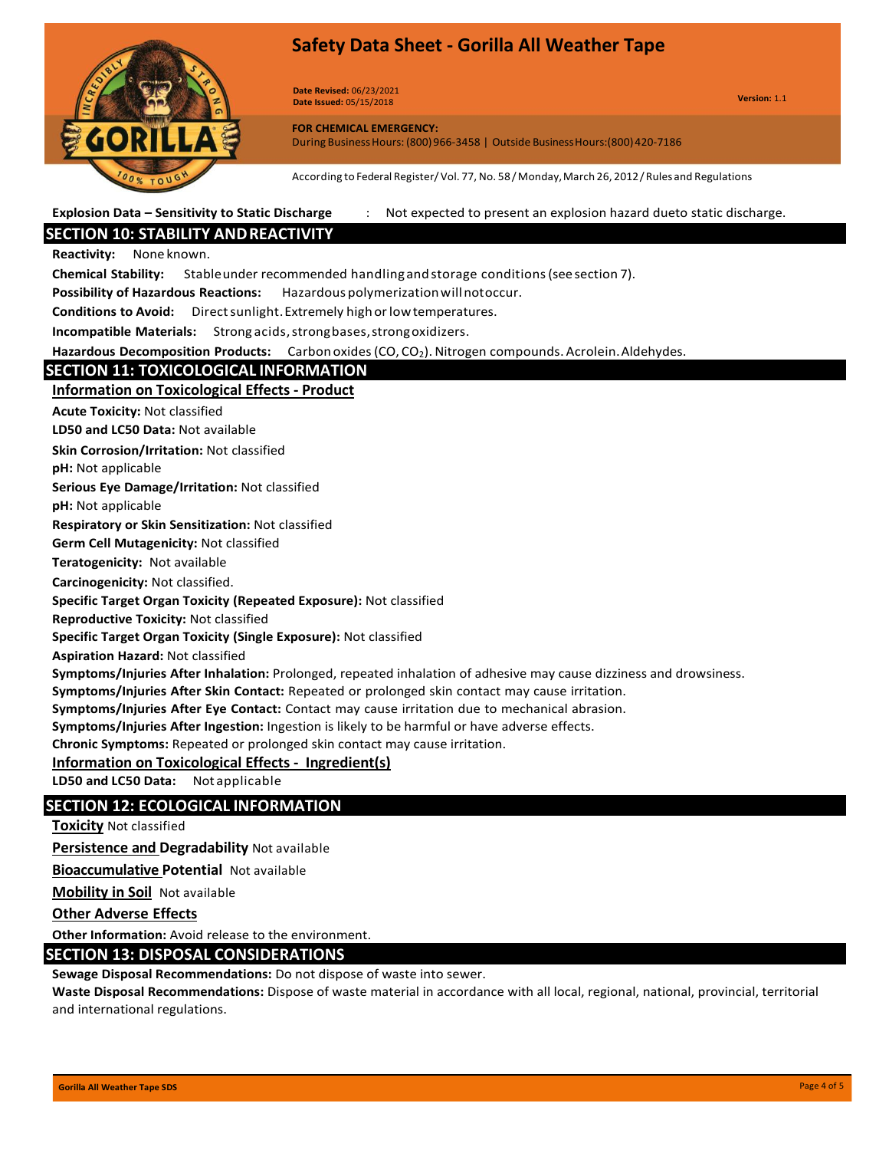

**Version:** 1.1 **Date Revised:** 06/23/2021 **Date Issued:** 05/15/2018

**FOR CHEMICAL EMERGENCY:**

During BusinessHours: (800)966-3458 | Outside BusinessHours:(800)420-7186

According to Federal Register/Vol. 77,No. 58/Monday,March 26, 2012/ Rulesand Regulations

#### **Explosion Data – Sensitivity to Static Discharge** : Not expected to present an explosion hazard dueto static discharge.

# **SECTION 10: STABILITY ANDREACTIVITY**

**Reactivity:** None known.

**Chemical Stability:** Stableunder recommended handling andstorage conditions(seesection 7).

**Possibility of Hazardous Reactions:** Hazardous polymerizationwillnotoccur.

**Conditions to Avoid:** Direct sunlight. Extremely high or low temperatures.

**Incompatible Materials:** Strong acids, strong bases, strong oxidizers.

Hazardous Decomposition Products: Carbonoxides (CO, CO<sub>2</sub>). Nitrogen compounds. Acrolein. Aldehydes.

## **SECTION 11: TOXICOLOGICAL INFORMATION**

## **Information on Toxicological Effects - Product**

**Acute Toxicity:** Not classified

**LD50 and LC50 Data:** Not available

**Skin Corrosion/Irritation:** Not classified

**pH:** Not applicable

**Serious Eye Damage/Irritation:** Not classified

**pH:** Not applicable

**Respiratory or Skin Sensitization:** Not classified

**Germ Cell Mutagenicity:** Not classified

**Teratogenicity:** Not available

**Carcinogenicity:** Not classified.

**Specific Target Organ Toxicity (Repeated Exposure):** Not classified

**Reproductive Toxicity:** Not classified

**Specific Target Organ Toxicity (Single Exposure):** Not classified

**Aspiration Hazard:** Not classified

**Symptoms/Injuries After Inhalation:** Prolonged, repeated inhalation of adhesive may cause dizziness and drowsiness.

**Symptoms/Injuries After Skin Contact:** Repeated or prolonged skin contact may cause irritation.

**Symptoms/Injuries After Eye Contact:** Contact may cause irritation due to mechanical abrasion.

**Symptoms/Injuries After Ingestion:** Ingestion is likely to be harmful or have adverse effects.

**Chronic Symptoms:** Repeated or prolonged skin contact may cause irritation.

#### **Information on Toxicological Effects - Ingredient(s)**

**LD50 and LC50 Data:** Not applicable

## **SECTION 12: ECOLOGICAL INFORMATION**

**Toxicity** Not classified

**Persistence and Degradability** Not available

**Bioaccumulative Potential** Not available

**Mobility in Soil** Not available

**Other Adverse Effects**

**Other Information:** Avoid release to the environment.

# **SECTION 13: DISPOSAL CONSIDERATIONS**

**Sewage Disposal Recommendations:** Do not dispose of waste into sewer.

**Waste Disposal Recommendations:** Dispose of waste material in accordance with all local, regional, national, provincial, territorial and international regulations.